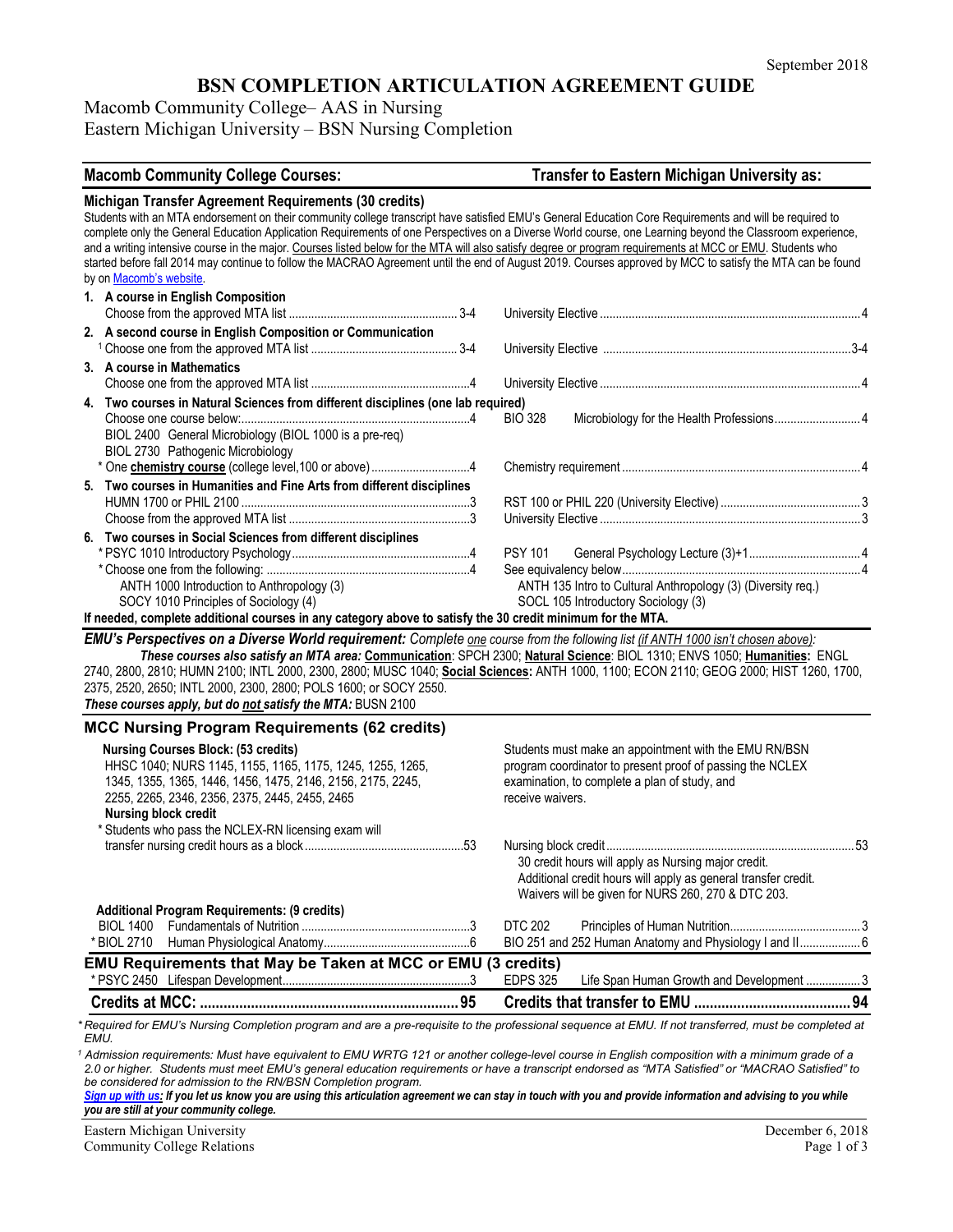# **BSN COMPLETION ARTICULATION AGREEMENT GUIDE**

Macomb Community College– AAS in Nursing Eastern Michigan University – BSN Nursing Completion

| <b>Macomb Community College Courses:</b>                                                                                                                                                                                                                                                                                                                                                                  | Transfer to Eastern Michigan University as:                                                                                                                                                                                                                                                                                                                                                                                                               |
|-----------------------------------------------------------------------------------------------------------------------------------------------------------------------------------------------------------------------------------------------------------------------------------------------------------------------------------------------------------------------------------------------------------|-----------------------------------------------------------------------------------------------------------------------------------------------------------------------------------------------------------------------------------------------------------------------------------------------------------------------------------------------------------------------------------------------------------------------------------------------------------|
| Michigan Transfer Agreement Requirements (30 credits)<br>Students with an MTA endorsement on their community college transcript have satisfied EMU's General Education Core Requirements and will be required to<br>and a writing intensive course in the major. Courses listed below for the MTA will also satisfy degree or program requirements at MCC or EMU. Students who<br>by on Macomb's website. | complete only the General Education Application Requirements of one Perspectives on a Diverse World course, one Learning beyond the Classroom experience,<br>started before fall 2014 may continue to follow the MACRAO Agreement until the end of August 2019. Courses approved by MCC to satisfy the MTA can be found                                                                                                                                   |
| 1. A course in English Composition                                                                                                                                                                                                                                                                                                                                                                        |                                                                                                                                                                                                                                                                                                                                                                                                                                                           |
| 2. A second course in English Composition or Communication                                                                                                                                                                                                                                                                                                                                                |                                                                                                                                                                                                                                                                                                                                                                                                                                                           |
| 3. A course in Mathematics                                                                                                                                                                                                                                                                                                                                                                                |                                                                                                                                                                                                                                                                                                                                                                                                                                                           |
| 4. Two courses in Natural Sciences from different disciplines (one lab required)<br>BIOL 2400 General Microbiology (BIOL 1000 is a pre-req)<br>BIOL 2730 Pathogenic Microbiology                                                                                                                                                                                                                          | <b>BIO 328</b>                                                                                                                                                                                                                                                                                                                                                                                                                                            |
| * One chemistry course (college level, 100 or above)4                                                                                                                                                                                                                                                                                                                                                     |                                                                                                                                                                                                                                                                                                                                                                                                                                                           |
| 5. Two courses in Humanities and Fine Arts from different disciplines                                                                                                                                                                                                                                                                                                                                     |                                                                                                                                                                                                                                                                                                                                                                                                                                                           |
| 6. Two courses in Social Sciences from different disciplines<br>ANTH 1000 Introduction to Anthropology (3)<br>SOCY 1010 Principles of Sociology (4)<br>If needed, complete additional courses in any category above to satisfy the 30 credit minimum for the MTA.                                                                                                                                         | <b>PSY 101</b><br>ANTH 135 Intro to Cultural Anthropology (3) (Diversity req.)<br>SOCL 105 Introductory Sociology (3)                                                                                                                                                                                                                                                                                                                                     |
| EMU's Perspectives on a Diverse World requirement: Complete one course from the following list (if ANTH 1000 isn't chosen above):<br>2375, 2520, 2650; INTL 2000, 2300, 2800; POLS 1600; or SOCY 2550.<br>These courses apply, but do not satisfy the MTA: BUSN 2100                                                                                                                                      | These courses also satisfy an MTA area: Communication: SPCH 2300; Natural Science: BIOL 1310; ENVS 1050; Humanities: ENGL<br>2740, 2800, 2810; HUMN 2100; INTL 2000, 2300, 2800; MUSC 1040; Social Sciences: ANTH 1000, 1100; ECON 2110; GEOG 2000; HIST 1260, 1700,                                                                                                                                                                                      |
| <b>MCC Nursing Program Requirements (62 credits)</b>                                                                                                                                                                                                                                                                                                                                                      |                                                                                                                                                                                                                                                                                                                                                                                                                                                           |
| <b>Nursing Courses Block: (53 credits)</b><br>HHSC 1040; NURS 1145, 1155, 1165, 1175, 1245, 1255, 1265,<br>1345, 1355, 1365, 1446, 1456, 1475, 2146, 2156, 2175, 2245,<br>2255, 2265, 2346, 2356, 2375, 2445, 2455, 2465<br><b>Nursing block credit</b>                                                                                                                                                   | Students must make an appointment with the EMU RN/BSN<br>program coordinator to present proof of passing the NCLEX<br>examination, to complete a plan of study, and<br>receive waivers.                                                                                                                                                                                                                                                                   |
| * Students who pass the NCLEX-RN licensing exam will                                                                                                                                                                                                                                                                                                                                                      | 30 credit hours will apply as Nursing major credit.<br>Additional credit hours will apply as general transfer credit.<br>Waivers will be given for NURS 260, 270 & DTC 203.                                                                                                                                                                                                                                                                               |
| <b>Additional Program Requirements: (9 credits)</b><br><b>BIOL 1400</b>                                                                                                                                                                                                                                                                                                                                   | <b>DTC 202</b>                                                                                                                                                                                                                                                                                                                                                                                                                                            |
| * BIOL 2710                                                                                                                                                                                                                                                                                                                                                                                               | BIO 251 and 252 Human Anatomy and Physiology I and II 6                                                                                                                                                                                                                                                                                                                                                                                                   |
| <b>EMU Requirements that May be Taken at MCC or EMU (3 credits)</b>                                                                                                                                                                                                                                                                                                                                       |                                                                                                                                                                                                                                                                                                                                                                                                                                                           |
|                                                                                                                                                                                                                                                                                                                                                                                                           | <b>EDPS 325</b><br>Life Span Human Growth and Development  3                                                                                                                                                                                                                                                                                                                                                                                              |
|                                                                                                                                                                                                                                                                                                                                                                                                           |                                                                                                                                                                                                                                                                                                                                                                                                                                                           |
| EMU.<br>be considered for admission to the RN/BSN Completion program.<br>Sign up with us: If you let us know you are using this articulation agreement we can stay in touch with you and provide information and advising to you while                                                                                                                                                                    | *Required for EMU's Nursing Completion program and are a pre-requisite to the professional sequence at EMU. If not transferred, must be completed at<br>Admission requirements: Must have equivalent to EMU WRTG 121 or another college-level course in English composition with a minimum grade of a<br>2.0 or higher. Students must meet EMU's general education requirements or have a transcript endorsed as "MTA Satisfied" or "MACRAO Satisfied" to |

*you are still at your community college.* 

Eastern Michigan University<br>
Community College Relations<br>
Page 1 of 3 Community College Relations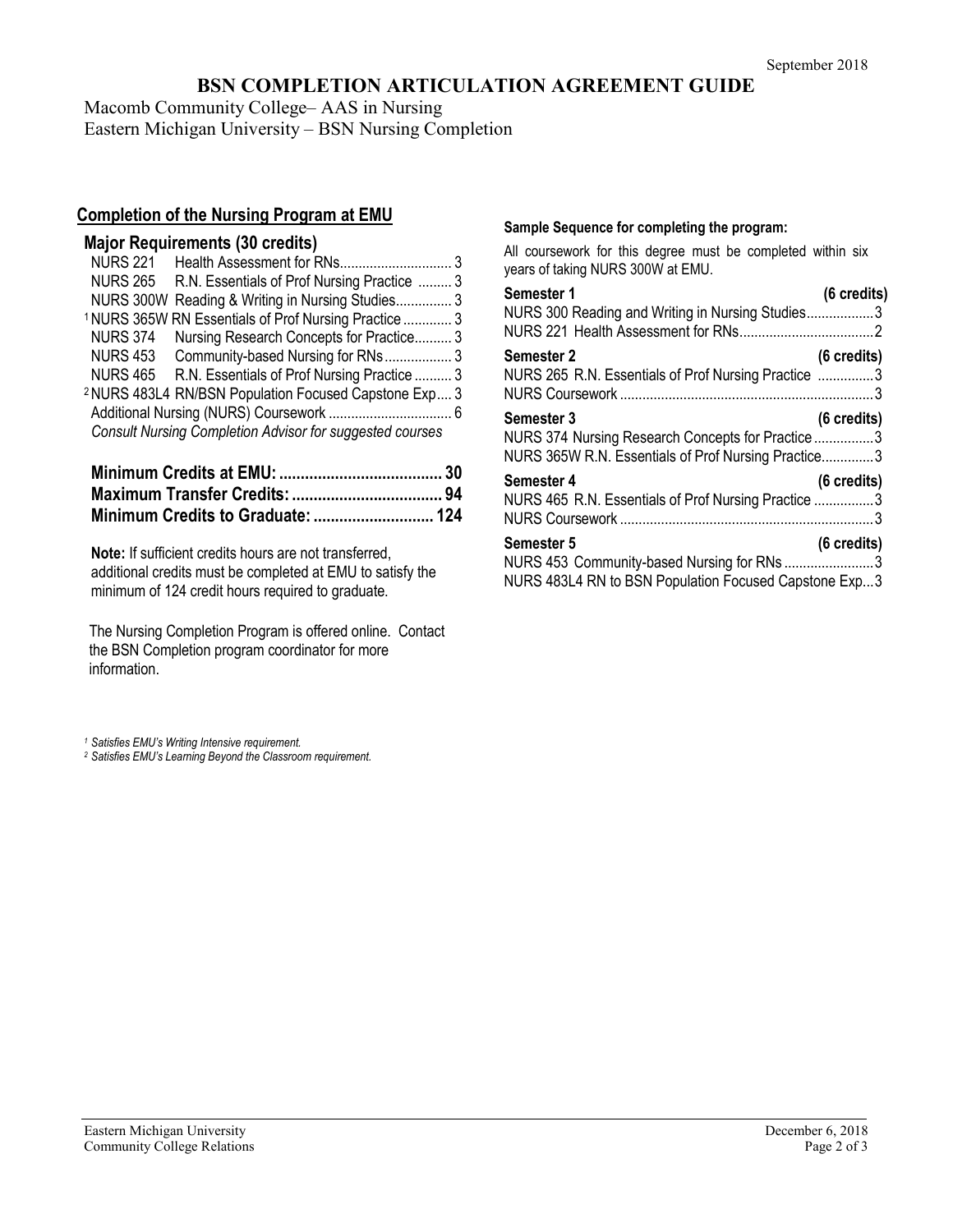## **BSN COMPLETION ARTICULATION AGREEMENT GUIDE**

Macomb Community College– AAS in Nursing Eastern Michigan University – BSN Nursing Completion

## **Completion of the Nursing Program at EMU**

| <b>Major Requirements (30 credits)</b> |  |
|----------------------------------------|--|
|----------------------------------------|--|

| <b>NURS 221</b> |                                                                  |  |
|-----------------|------------------------------------------------------------------|--|
| <b>NURS 265</b> | R.N. Essentials of Prof Nursing Practice  3                      |  |
|                 | NURS 300W Reading & Writing in Nursing Studies 3                 |  |
|                 | <sup>1</sup> NURS 365W RN Essentials of Prof Nursing Practice  3 |  |
| <b>NURS 374</b> | Nursing Research Concepts for Practice 3                         |  |
|                 | NURS 453 Community-based Nursing for RNs 3                       |  |
| <b>NURS 465</b> | R.N. Essentials of Prof Nursing Practice  3                      |  |
|                 | <sup>2</sup> NURS 483L4 RN/BSN Population Focused Capstone Exp 3 |  |
|                 |                                                                  |  |
|                 | <b>Consult Nursing Completion Advisor for suggested courses</b>  |  |
|                 |                                                                  |  |

**Minimum Credits at EMU: ...................................... 30 Maximum Transfer Credits: ................................... 94 Minimum Credits to Graduate: ............................ 124**

**Note:** If sufficient credits hours are not transferred, additional credits must be completed at EMU to satisfy the minimum of 124 credit hours required to graduate.

The Nursing Completion Program is offered online. Contact the BSN Completion program coordinator for more information.

### **Sample Sequence for completing the program:**

All coursework for this degree must be completed within six years of taking NURS 300W at EMU.

| Semester 1                                                                                                                   | (6 credits)           |
|------------------------------------------------------------------------------------------------------------------------------|-----------------------|
| NURS 300 Reading and Writing in Nursing Studies3                                                                             |                       |
| <b>Semester 2</b><br>NURS 265 R.N. Essentials of Prof Nursing Practice 3                                                     | $(6 \text{ credits})$ |
| <b>Semester 3</b><br>NURS 374 Nursing Research Concepts for Practice3<br>NURS 365W R.N. Essentials of Prof Nursing Practice3 | $(6 \text{ credits})$ |
| Semester 4<br>NURS 465 R.N. Essentials of Prof Nursing Practice 3                                                            | $(6 \text{ credits})$ |
| <b>Semester 5</b><br>NURS 453 Community-based Nursing for RNs 3<br>NURS 483L4 RN to BSN Population Focused Capstone Exp3     | $(6 \text{ credits})$ |

*<sup>1</sup> Satisfies EMU's Writing Intensive requirement.*

*<sup>2</sup> Satisfies EMU's Learning Beyond the Classroom requirement.*